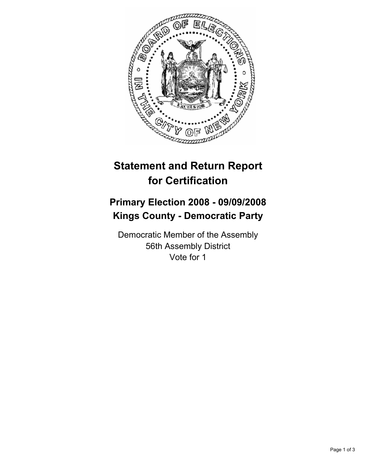

## **Statement and Return Report for Certification**

## **Primary Election 2008 - 09/09/2008 Kings County - Democratic Party**

Democratic Member of the Assembly 56th Assembly District Vote for 1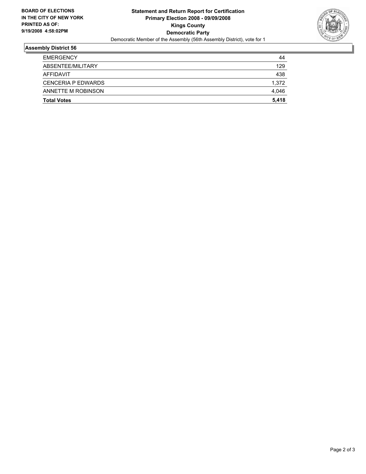

## **Assembly District 56**

| <b>EMERGENCY</b>          | 44    |
|---------------------------|-------|
| ABSENTEE/MILITARY         | 129   |
| AFFIDAVIT                 | 438   |
| <b>CENCERIA P EDWARDS</b> | 1,372 |
| ANNETTE M ROBINSON        | 4,046 |
| <b>Total Votes</b>        | 5,418 |